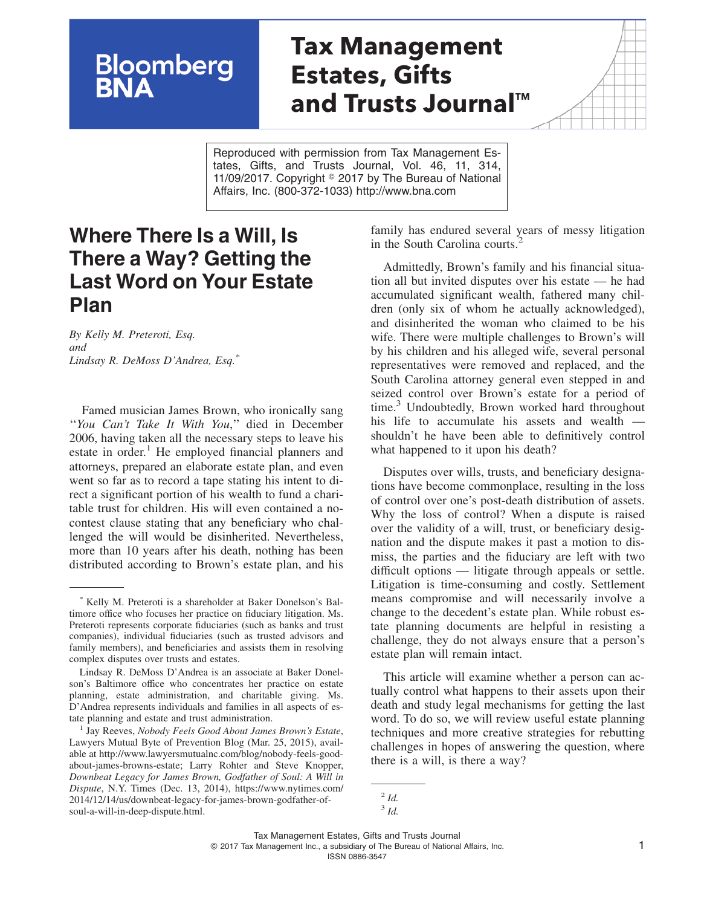# **Tax Management Estates, Gifts and Trusts Journal™**

Reproduced with permission from Tax Management Estates, Gifts, and Trusts Journal, Vol. 46, 11, 314, 11/09/2017. Copyright  $\degree$  2017 by The Bureau of National Affairs, Inc. (800-372-1033) http://www.bna.com

## **Where There Is a Will, Is There a Way? Getting the Last Word on Your Estate Plan**

**Bloomberg**<br>**BNA** 

*By Kelly M. Preteroti, Esq. and Lindsay R. DeMoss D'Andrea, Esq.\**

Famed musician James Brown, who ironically sang ''*You Can't Take It With You*,'' died in December 2006, having taken all the necessary steps to leave his estate in order.<sup>1</sup> He employed financial planners and attorneys, prepared an elaborate estate plan, and even went so far as to record a tape stating his intent to direct a significant portion of his wealth to fund a charitable trust for children. His will even contained a nocontest clause stating that any beneficiary who challenged the will would be disinherited. Nevertheless, more than 10 years after his death, nothing has been distributed according to Brown's estate plan, and his family has endured several years of messy litigation in the South Carolina courts.<sup>2</sup>

Admittedly, Brown's family and his financial situation all but invited disputes over his estate — he had accumulated significant wealth, fathered many children (only six of whom he actually acknowledged), and disinherited the woman who claimed to be his wife. There were multiple challenges to Brown's will by his children and his alleged wife, several personal representatives were removed and replaced, and the South Carolina attorney general even stepped in and seized control over Brown's estate for a period of time.<sup>3</sup> Undoubtedly, Brown worked hard throughout his life to accumulate his assets and wealth shouldn't he have been able to definitively control what happened to it upon his death?

Disputes over wills, trusts, and beneficiary designations have become commonplace, resulting in the loss of control over one's post-death distribution of assets. Why the loss of control? When a dispute is raised over the validity of a will, trust, or beneficiary designation and the dispute makes it past a motion to dismiss, the parties and the fiduciary are left with two difficult options — litigate through appeals or settle. Litigation is time-consuming and costly. Settlement means compromise and will necessarily involve a change to the decedent's estate plan. While robust estate planning documents are helpful in resisting a challenge, they do not always ensure that a person's estate plan will remain intact.

This article will examine whether a person can actually control what happens to their assets upon their death and study legal mechanisms for getting the last word. To do so, we will review useful estate planning techniques and more creative strategies for rebutting challenges in hopes of answering the question, where there is a will, is there a way?

Kelly M. Preteroti is a shareholder at Baker Donelson's Baltimore office who focuses her practice on fiduciary litigation. Ms. Preteroti represents corporate fiduciaries (such as banks and trust companies), individual fiduciaries (such as trusted advisors and family members), and beneficiaries and assists them in resolving complex disputes over trusts and estates.

Lindsay R. DeMoss D'Andrea is an associate at Baker Donelson's Baltimore office who concentrates her practice on estate planning, estate administration, and charitable giving. Ms. D'Andrea represents individuals and families in all aspects of estate planning and estate and trust administration.

<sup>1</sup> Jay Reeves, *Nobody Feels Good About James Brown's Estate*, Lawyers Mutual Byte of Prevention Blog (Mar. 25, 2015), available at [http://www.lawyersmutualnc.com/blog/nobody-feels-good](http://www.lawyersmutualnc.com/blog/nobody-feels-good-about-james-browns-estate)[about-james-browns-estate;](http://www.lawyersmutualnc.com/blog/nobody-feels-good-about-james-browns-estate) Larry Rohter and Steve Knopper, *Downbeat Legacy for James Brown, Godfather of Soul: A Will in Dispute*, N.Y. Times (Dec. 13, 2014), [https://www.nytimes.com/](https://www.nytimes.com/2014/12/14/us/downbeat-legacy-for-james-brown-godfather-of-soul-a-will-in-deep-dispute.html) [2014/12/14/us/downbeat-legacy-for-james-brown-godfather-of](https://www.nytimes.com/2014/12/14/us/downbeat-legacy-for-james-brown-godfather-of-soul-a-will-in-deep-dispute.html)[soul-a-will-in-deep-dispute.html.](https://www.nytimes.com/2014/12/14/us/downbeat-legacy-for-james-brown-godfather-of-soul-a-will-in-deep-dispute.html)

<sup>2</sup> *Id.*

<sup>3</sup> *Id.*

Tax Management Estates, Gifts and Trusts Journal © 2017 Tax Management Inc., a subsidiary of The Bureau of National Affairs, Inc. 1 ISSN 0886-3547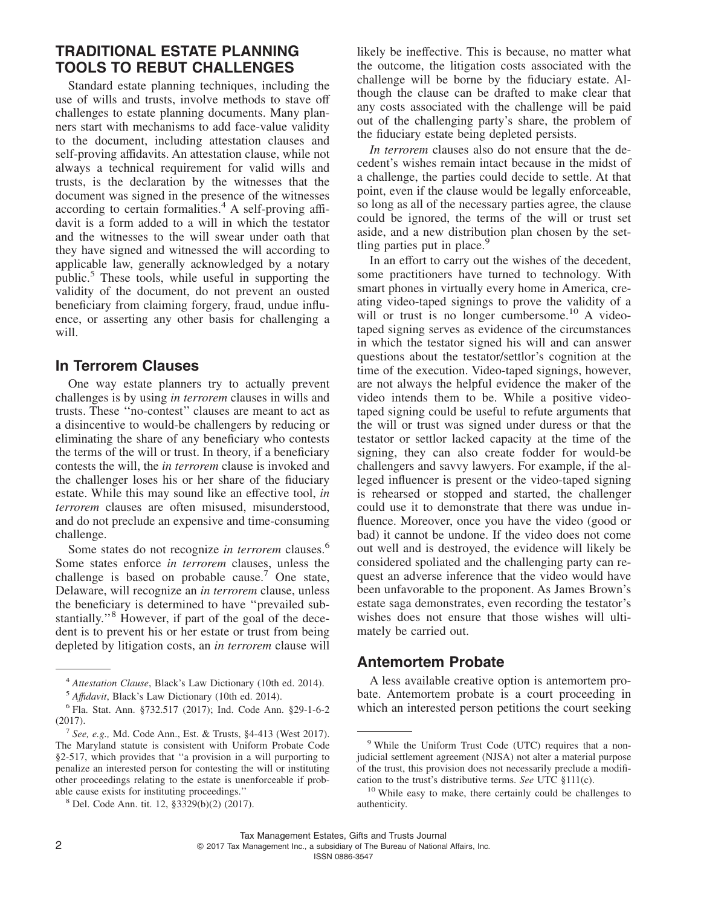### **TRADITIONAL ESTATE PLANNING TOOLS TO REBUT CHALLENGES**

Standard estate planning techniques, including the use of wills and trusts, involve methods to stave off challenges to estate planning documents. Many planners start with mechanisms to add face-value validity to the document, including attestation clauses and self-proving affidavits. An attestation clause, while not always a technical requirement for valid wills and trusts, is the declaration by the witnesses that the document was signed in the presence of the witnesses according to certain formalities. $4$  A self-proving affidavit is a form added to a will in which the testator and the witnesses to the will swear under oath that they have signed and witnessed the will according to applicable law, generally acknowledged by a notary public.5 These tools, while useful in supporting the validity of the document, do not prevent an ousted beneficiary from claiming forgery, fraud, undue influence, or asserting any other basis for challenging a will.

#### **In Terrorem Clauses**

One way estate planners try to actually prevent challenges is by using *in terrorem* clauses in wills and trusts. These ''no-contest'' clauses are meant to act as a disincentive to would-be challengers by reducing or eliminating the share of any beneficiary who contests the terms of the will or trust. In theory, if a beneficiary contests the will, the *in terrorem* clause is invoked and the challenger loses his or her share of the fiduciary estate. While this may sound like an effective tool, *in terrorem* clauses are often misused, misunderstood, and do not preclude an expensive and time-consuming challenge.

Some states do not recognize *in terrorem* clauses.<sup>6</sup> Some states enforce *in terrorem* clauses, unless the challenge is based on probable cause.<sup>7</sup> One state, Delaware, will recognize an *in terrorem* clause, unless the beneficiary is determined to have ''prevailed substantially."<sup>8</sup> However, if part of the goal of the decedent is to prevent his or her estate or trust from being depleted by litigation costs, an *in terrorem* clause will

likely be ineffective. This is because, no matter what the outcome, the litigation costs associated with the challenge will be borne by the fiduciary estate. Although the clause can be drafted to make clear that any costs associated with the challenge will be paid out of the challenging party's share, the problem of the fiduciary estate being depleted persists.

*In terrorem* clauses also do not ensure that the decedent's wishes remain intact because in the midst of a challenge, the parties could decide to settle. At that point, even if the clause would be legally enforceable, so long as all of the necessary parties agree, the clause could be ignored, the terms of the will or trust set aside, and a new distribution plan chosen by the settling parties put in place.<sup>9</sup>

In an effort to carry out the wishes of the decedent, some practitioners have turned to technology. With smart phones in virtually every home in America, creating video-taped signings to prove the validity of a will or trust is no longer cumbersome.<sup>10</sup> A videotaped signing serves as evidence of the circumstances in which the testator signed his will and can answer questions about the testator/settlor's cognition at the time of the execution. Video-taped signings, however, are not always the helpful evidence the maker of the video intends them to be. While a positive videotaped signing could be useful to refute arguments that the will or trust was signed under duress or that the testator or settlor lacked capacity at the time of the signing, they can also create fodder for would-be challengers and savvy lawyers. For example, if the alleged influencer is present or the video-taped signing is rehearsed or stopped and started, the challenger could use it to demonstrate that there was undue influence. Moreover, once you have the video (good or bad) it cannot be undone. If the video does not come out well and is destroyed, the evidence will likely be considered spoliated and the challenging party can request an adverse inference that the video would have been unfavorable to the proponent. As James Brown's estate saga demonstrates, even recording the testator's wishes does not ensure that those wishes will ultimately be carried out.

#### **Antemortem Probate**

A less available creative option is antemortem probate. Antemortem probate is a court proceeding in which an interested person petitions the court seeking

<sup>4</sup> *Attestation Clause*, Black's Law Dictionary (10th ed. 2014).

<sup>5</sup> *Affıdavit*, Black's Law Dictionary (10th ed. 2014).

<sup>6</sup> Fla. Stat. Ann. §732.517 (2017); Ind. Code Ann. §29-1-6-2 (2017).

<sup>7</sup> *See, e.g.,* Md. Code Ann., Est. & Trusts, §4-413 (West 2017). The Maryland statute is consistent with Uniform Probate Code §2-517, which provides that ''a provision in a will purporting to penalize an interested person for contesting the will or instituting other proceedings relating to the estate is unenforceable if probable cause exists for instituting proceedings.''

<sup>8</sup> Del. Code Ann. tit. 12, §3329(b)(2) (2017).

<sup>9</sup> While the Uniform Trust Code (UTC) requires that a nonjudicial settlement agreement (NJSA) not alter a material purpose of the trust, this provision does not necessarily preclude a modification to the trust's distributive terms. *See* UTC §111(c).

<sup>&</sup>lt;sup>10</sup> While easy to make, there certainly could be challenges to authenticity.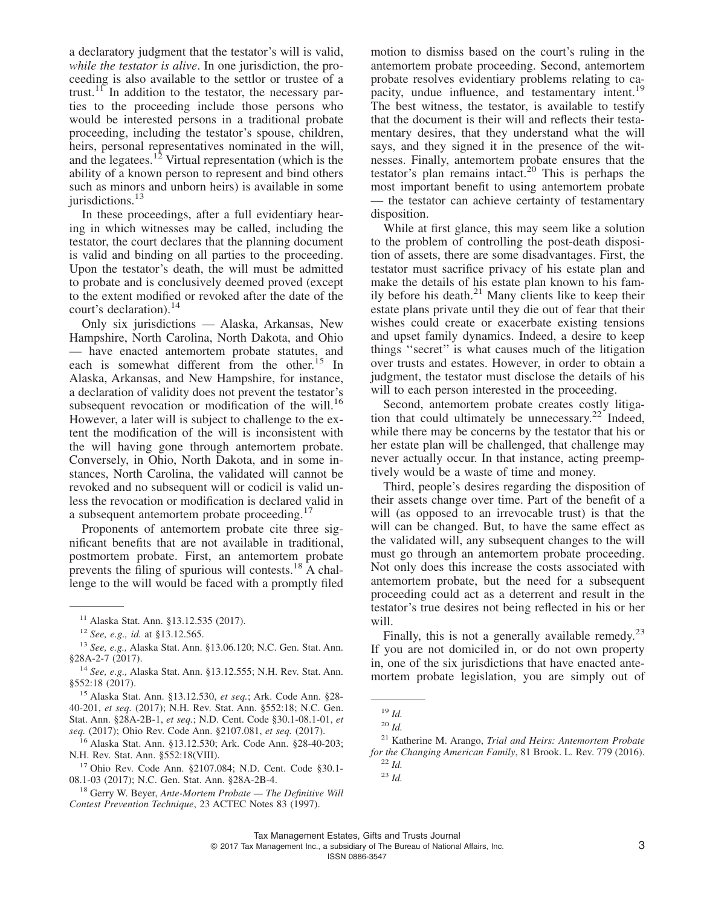a declaratory judgment that the testator's will is valid, *while the testator is alive*. In one jurisdiction, the proceeding is also available to the settlor or trustee of a trust.<sup>11</sup> In addition to the testator, the necessary parties to the proceeding include those persons who would be interested persons in a traditional probate proceeding, including the testator's spouse, children, heirs, personal representatives nominated in the will, and the legatees.<sup>12</sup> Virtual representation (which is the ability of a known person to represent and bind others such as minors and unborn heirs) is available in some jurisdictions.<sup>13</sup>

In these proceedings, after a full evidentiary hearing in which witnesses may be called, including the testator, the court declares that the planning document is valid and binding on all parties to the proceeding. Upon the testator's death, the will must be admitted to probate and is conclusively deemed proved (except to the extent modified or revoked after the date of the court's declaration).<sup>14</sup>

Only six jurisdictions — Alaska, Arkansas, New Hampshire, North Carolina, North Dakota, and Ohio — have enacted antemortem probate statutes, and each is somewhat different from the other.<sup>15</sup> In Alaska, Arkansas, and New Hampshire, for instance, a declaration of validity does not prevent the testator's subsequent revocation or modification of the will.<sup>16</sup> However, a later will is subject to challenge to the extent the modification of the will is inconsistent with the will having gone through antemortem probate. Conversely, in Ohio, North Dakota, and in some instances, North Carolina, the validated will cannot be revoked and no subsequent will or codicil is valid unless the revocation or modification is declared valid in a subsequent antemortem probate proceeding.<sup>17</sup>

Proponents of antemortem probate cite three significant benefits that are not available in traditional, postmortem probate. First, an antemortem probate prevents the filing of spurious will contests.<sup>18</sup>  $\hat{A}$  challenge to the will would be faced with a promptly filed

<sup>15</sup> Alaska Stat. Ann. §13.12.530, *et seq.*; Ark. Code Ann. §28- 40-201, *et seq.* (2017); N.H. Rev. Stat. Ann. §552:18; N.C. Gen. Stat. Ann. §28A-2B-1, *et seq.*; N.D. Cent. Code §30.1-08.1-01, *et seq.* (2017); Ohio Rev. Code Ann. §2107.081, *et seq.* (2017).

<sup>16</sup> Alaska Stat. Ann. §13.12.530; Ark. Code Ann. §28-40-203; N.H. Rev. Stat. Ann. §552:18(VIII).

<sup>17</sup> Ohio Rev. Code Ann. §2107.084; N.D. Cent. Code §30.1- 08.1-03 (2017); N.C. Gen. Stat. Ann. §28A-2B-4.

motion to dismiss based on the court's ruling in the antemortem probate proceeding. Second, antemortem probate resolves evidentiary problems relating to capacity, undue influence, and testamentary intent.<sup>19</sup> The best witness, the testator, is available to testify that the document is their will and reflects their testamentary desires, that they understand what the will says, and they signed it in the presence of the witnesses. Finally, antemortem probate ensures that the testator's plan remains intact.<sup>20</sup> This is perhaps the most important benefit to using antemortem probate — the testator can achieve certainty of testamentary disposition.

While at first glance, this may seem like a solution to the problem of controlling the post-death disposition of assets, there are some disadvantages. First, the testator must sacrifice privacy of his estate plan and make the details of his estate plan known to his family before his death. $^{21}$  Many clients like to keep their estate plans private until they die out of fear that their wishes could create or exacerbate existing tensions and upset family dynamics. Indeed, a desire to keep things ''secret'' is what causes much of the litigation over trusts and estates. However, in order to obtain a judgment, the testator must disclose the details of his will to each person interested in the proceeding.

Second, antemortem probate creates costly litigation that could ultimately be unnecessary.<sup>22</sup> Indeed, while there may be concerns by the testator that his or her estate plan will be challenged, that challenge may never actually occur. In that instance, acting preemptively would be a waste of time and money.

Third, people's desires regarding the disposition of their assets change over time. Part of the benefit of a will (as opposed to an irrevocable trust) is that the will can be changed. But, to have the same effect as the validated will, any subsequent changes to the will must go through an antemortem probate proceeding. Not only does this increase the costs associated with antemortem probate, but the need for a subsequent proceeding could act as a deterrent and result in the testator's true desires not being reflected in his or her will.

Finally, this is not a generally available remedy. $2<sup>3</sup>$ If you are not domiciled in, or do not own property in, one of the six jurisdictions that have enacted antemortem probate legislation, you are simply out of

<sup>11</sup> Alaska Stat. Ann. §13.12.535 (2017).

<sup>12</sup> *See, e.g., id.* at §13.12.565.

<sup>13</sup> *See, e.g.,* Alaska Stat. Ann. §13.06.120; N.C. Gen. Stat. Ann. §28A-2-7 (2017).

<sup>14</sup> *See, e.g.,* Alaska Stat. Ann. §13.12.555; N.H. Rev. Stat. Ann. §552:18 (2017).

<sup>18</sup> Gerry W. Beyer, *Ante-Mortem Probate — The Definitive Will Contest Prevention Technique*, 23 ACTEC Notes 83 (1997).

<sup>19</sup> *Id.*

<sup>20</sup> *Id.*

<sup>21</sup> Katherine M. Arango, *Trial and Heirs: Antemortem Probate for the Changing American Family*, 81 Brook. L. Rev. 779 (2016). <sup>22</sup> *Id.*

<sup>23</sup> *Id.*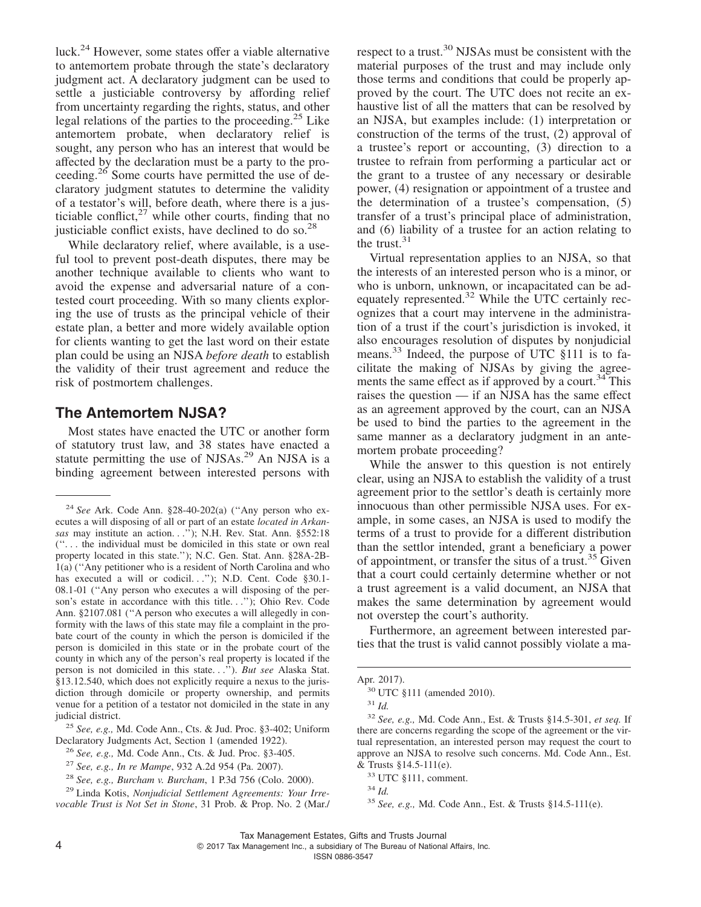luck.<sup>24</sup> However, some states offer a viable alternative to antemortem probate through the state's declaratory judgment act. A declaratory judgment can be used to settle a justiciable controversy by affording relief from uncertainty regarding the rights, status, and other legal relations of the parties to the proceeding.<sup>25</sup> Like antemortem probate, when declaratory relief is sought, any person who has an interest that would be affected by the declaration must be a party to the proceeding.26 Some courts have permitted the use of declaratory judgment statutes to determine the validity of a testator's will, before death, where there is a justiciable conflict, $27$  while other courts, finding that no justiciable conflict exists, have declined to do so. $^{28}$ 

While declaratory relief, where available, is a useful tool to prevent post-death disputes, there may be another technique available to clients who want to avoid the expense and adversarial nature of a contested court proceeding. With so many clients exploring the use of trusts as the principal vehicle of their estate plan, a better and more widely available option for clients wanting to get the last word on their estate plan could be using an NJSA *before death* to establish the validity of their trust agreement and reduce the risk of postmortem challenges.

#### **The Antemortem NJSA?**

Most states have enacted the UTC or another form of statutory trust law, and 38 states have enacted a statute permitting the use of NJSAs.<sup>29</sup> An NJSA is a binding agreement between interested persons with

<sup>25</sup> *See, e.g.,* Md. Code Ann., Cts. & Jud. Proc. §3-402; Uniform Declaratory Judgments Act, Section 1 (amended 1922).

respect to a trust.<sup>30</sup> NJSAs must be consistent with the material purposes of the trust and may include only those terms and conditions that could be properly approved by the court. The UTC does not recite an exhaustive list of all the matters that can be resolved by an NJSA, but examples include: (1) interpretation or construction of the terms of the trust, (2) approval of a trustee's report or accounting, (3) direction to a trustee to refrain from performing a particular act or the grant to a trustee of any necessary or desirable power, (4) resignation or appointment of a trustee and the determination of a trustee's compensation, (5) transfer of a trust's principal place of administration, and (6) liability of a trustee for an action relating to the trust.<sup>31</sup>

Virtual representation applies to an NJSA, so that the interests of an interested person who is a minor, or who is unborn, unknown, or incapacitated can be adequately represented.<sup>32</sup> While the UTC certainly recognizes that a court may intervene in the administration of a trust if the court's jurisdiction is invoked, it also encourages resolution of disputes by nonjudicial means.<sup>33</sup> Indeed, the purpose of UTC §111 is to facilitate the making of NJSAs by giving the agreements the same effect as if approved by a court.<sup>34</sup> This raises the question — if an NJSA has the same effect as an agreement approved by the court, can an NJSA be used to bind the parties to the agreement in the same manner as a declaratory judgment in an antemortem probate proceeding?

While the answer to this question is not entirely clear, using an NJSA to establish the validity of a trust agreement prior to the settlor's death is certainly more innocuous than other permissible NJSA uses. For example, in some cases, an NJSA is used to modify the terms of a trust to provide for a different distribution than the settlor intended, grant a beneficiary a power of appointment, or transfer the situs of a trust. $35$  Given that a court could certainly determine whether or not a trust agreement is a valid document, an NJSA that makes the same determination by agreement would not overstep the court's authority.

Furthermore, an agreement between interested parties that the trust is valid cannot possibly violate a ma-

<sup>24</sup> *See* Ark. Code Ann. §28-40-202(a) (''Any person who executes a will disposing of all or part of an estate *located in Arkansas* may institute an action. . .''); N.H. Rev. Stat. Ann. §552:18 (''. . . the individual must be domiciled in this state or own real property located in this state.''); N.C. Gen. Stat. Ann. §28A-2B-1(a) (''Any petitioner who is a resident of North Carolina and who has executed a will or codicil. . ."); N.D. Cent. Code §30.1-08.1-01 (''Any person who executes a will disposing of the person's estate in accordance with this title. . .''); Ohio Rev. Code Ann. §2107.081 (''A person who executes a will allegedly in conformity with the laws of this state may file a complaint in the probate court of the county in which the person is domiciled if the person is domiciled in this state or in the probate court of the county in which any of the person's real property is located if the person is not domiciled in this state. . .''). *But see* Alaska Stat. §13.12.540, which does not explicitly require a nexus to the jurisdiction through domicile or property ownership, and permits venue for a petition of a testator not domiciled in the state in any judicial district.

<sup>26</sup> *See, e.g.,* Md. Code Ann., Cts. & Jud. Proc. §3-405.

<sup>27</sup> *See, e.g., In re Mampe*, 932 A.2d 954 (Pa. 2007).

<sup>28</sup> *See, e.g., Burcham v. Burcham*, 1 P.3d 756 (Colo. 2000).

<sup>29</sup> Linda Kotis, *Nonjudicial Settlement Agreements: Your Irrevocable Trust is Not Set in Stone*, 31 Prob. & Prop. No. 2 (Mar./

Apr. 2017).

<sup>30</sup> UTC §111 (amended 2010).

<sup>31</sup> *Id.*

<sup>32</sup> *See, e.g.,* Md. Code Ann., Est. & Trusts §14.5-301, *et seq.* If there are concerns regarding the scope of the agreement or the virtual representation, an interested person may request the court to approve an NJSA to resolve such concerns. Md. Code Ann., Est. & Trusts §14.5-111(e).

<sup>33</sup> UTC §111, comment.

<sup>34</sup> *Id.*

<sup>35</sup> *See, e.g.,* Md. Code Ann., Est. & Trusts §14.5-111(e).